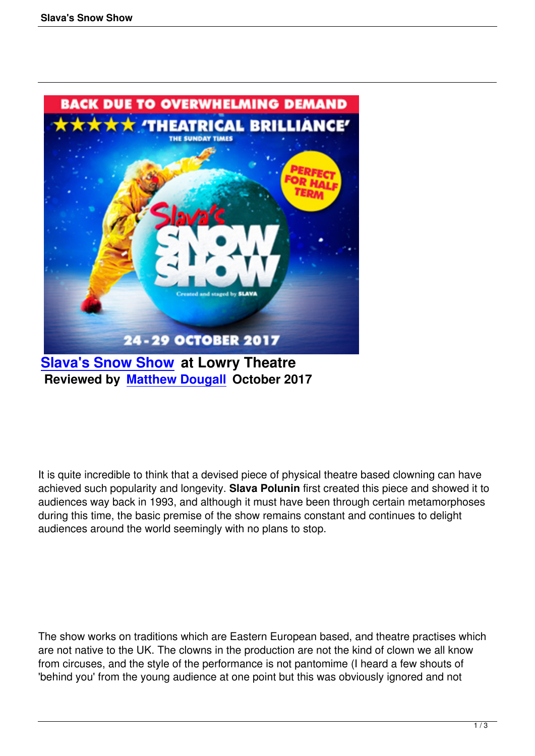

**Reviewed by Matthew Dougall October 2017**

It is quite incredible to think that a devised piece of physical theatre based clowning can have achieved such popularity and longevity. **Slava Polunin** first created this piece and showed it to audiences way back in 1993, and although it must have been through certain metamorphoses during this time, the basic premise of the show remains constant and continues to delight audiences around the world seemingly with no plans to stop.

The show works on traditions which are Eastern European based, and theatre practises which are not native to the UK. The clowns in the production are not the kind of clown we all know from circuses, and the style of the performance is not pantomime (I heard a few shouts of 'behind you' from the young audience at one point but this was obviously ignored and not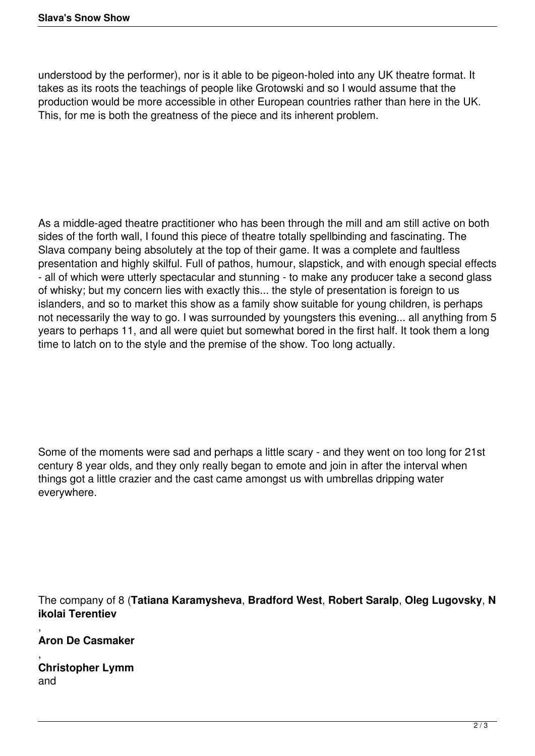understood by the performer), nor is it able to be pigeon-holed into any UK theatre format. It takes as its roots the teachings of people like Grotowski and so I would assume that the production would be more accessible in other European countries rather than here in the UK. This, for me is both the greatness of the piece and its inherent problem.

As a middle-aged theatre practitioner who has been through the mill and am still active on both sides of the forth wall, I found this piece of theatre totally spellbinding and fascinating. The Slava company being absolutely at the top of their game. It was a complete and faultless presentation and highly skilful. Full of pathos, humour, slapstick, and with enough special effects - all of which were utterly spectacular and stunning - to make any producer take a second glass of whisky; but my concern lies with exactly this... the style of presentation is foreign to us islanders, and so to market this show as a family show suitable for young children, is perhaps not necessarily the way to go. I was surrounded by youngsters this evening... all anything from 5 years to perhaps 11, and all were quiet but somewhat bored in the first half. It took them a long time to latch on to the style and the premise of the show. Too long actually.

Some of the moments were sad and perhaps a little scary - and they went on too long for 21st century 8 year olds, and they only really began to emote and join in after the interval when things got a little crazier and the cast came amongst us with umbrellas dripping water everywhere.

The company of 8 (**Tatiana Karamysheva**, **Bradford West**, **Robert Saralp**, **Oleg Lugovsky**, **N ikolai Terentiev**

, **Aron De Casmaker**

, **Christopher Lymm** and